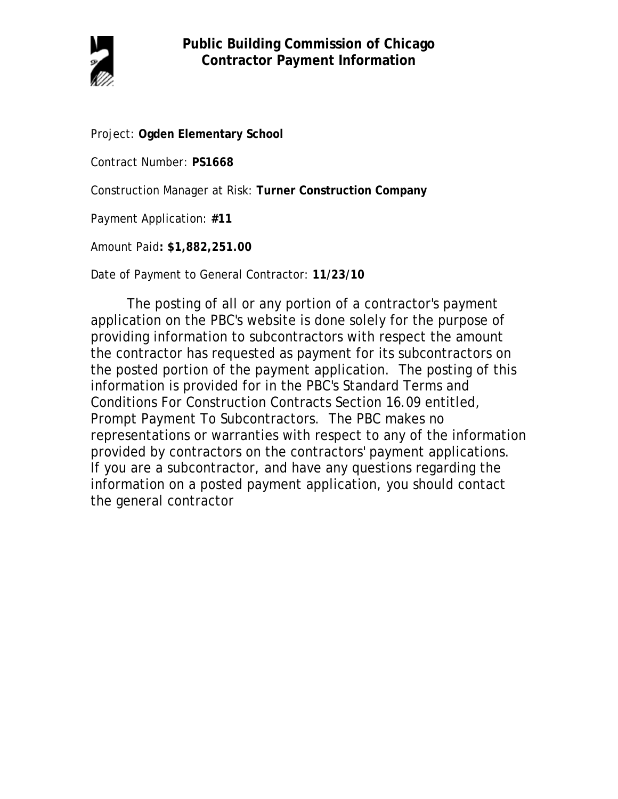

Project: **Ogden Elementary School**

Contract Number: **PS1668**

Construction Manager at Risk: **Turner Construction Company**

Payment Application: **#11**

Amount Paid**: \$1,882,251.00**

Date of Payment to General Contractor: **11/23/10**

The posting of all or any portion of a contractor's payment application on the PBC's website is done solely for the purpose of providing information to subcontractors with respect the amount the contractor has requested as payment for its subcontractors on the posted portion of the payment application. The posting of this information is provided for in the PBC's Standard Terms and Conditions For Construction Contracts Section 16.09 entitled, Prompt Payment To Subcontractors. The PBC makes no representations or warranties with respect to any of the information provided by contractors on the contractors' payment applications. If you are a subcontractor, and have any questions regarding the information on a posted payment application, you should contact the general contractor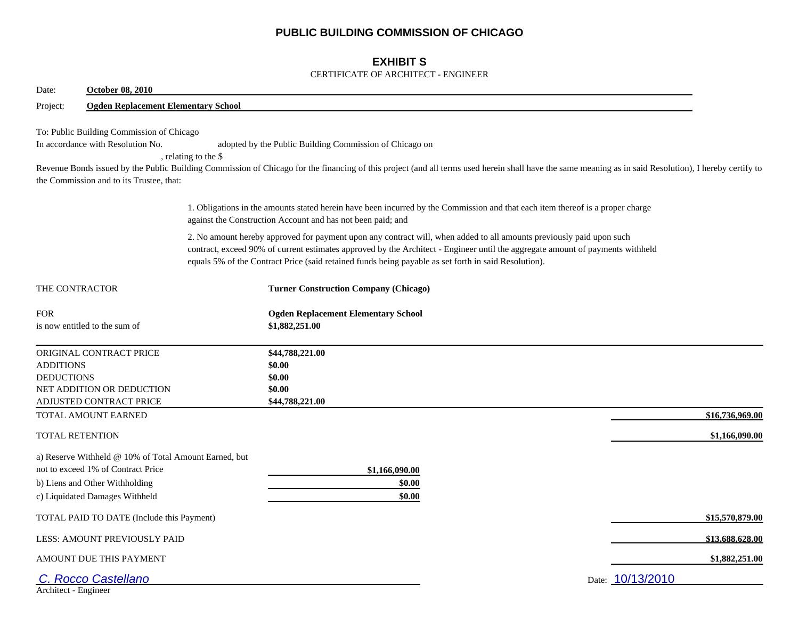## **PUBLIC BUILDING COMMISSION OF CHICAGO**

## **EXHIBIT S**

### CERTIFICATE OF ARCHITECT - ENGINEER

| Date:                                                                                                                      | <b>October 08, 2010</b>                               |                                                                                                                                                                                                                                                                                                                                                                |                  |
|----------------------------------------------------------------------------------------------------------------------------|-------------------------------------------------------|----------------------------------------------------------------------------------------------------------------------------------------------------------------------------------------------------------------------------------------------------------------------------------------------------------------------------------------------------------------|------------------|
| Project:                                                                                                                   | <b>Ogden Replacement Elementary School</b>            |                                                                                                                                                                                                                                                                                                                                                                |                  |
| To: Public Building Commission of Chicago<br>In accordance with Resolution No.<br>the Commission and to its Trustee, that: | , relating to the \$                                  | adopted by the Public Building Commission of Chicago on<br>Revenue Bonds issued by the Public Building Commission of Chicago for the financing of this project (and all terms used herein shall have the same meaning as in said Resolution), I hereby certify to                                                                                              |                  |
|                                                                                                                            |                                                       | 1. Obligations in the amounts stated herein have been incurred by the Commission and that each item thereof is a proper charge<br>against the Construction Account and has not been paid; and                                                                                                                                                                  |                  |
|                                                                                                                            |                                                       | 2. No amount hereby approved for payment upon any contract will, when added to all amounts previously paid upon such<br>contract, exceed 90% of current estimates approved by the Architect - Engineer until the aggregate amount of payments withheld<br>equals 5% of the Contract Price (said retained funds being payable as set forth in said Resolution). |                  |
| THE CONTRACTOR                                                                                                             |                                                       | <b>Turner Construction Company (Chicago)</b>                                                                                                                                                                                                                                                                                                                   |                  |
| <b>FOR</b><br>is now entitled to the sum of                                                                                |                                                       | <b>Ogden Replacement Elementary School</b><br>\$1,882,251.00                                                                                                                                                                                                                                                                                                   |                  |
| ORIGINAL CONTRACT PRICE<br><b>ADDITIONS</b><br><b>DEDUCTIONS</b><br>NET ADDITION OR DEDUCTION<br>ADJUSTED CONTRACT PRICE   |                                                       | \$44,788,221.00<br>\$0.00<br>\$0.00<br>\$0.00<br>\$44,788,221.00                                                                                                                                                                                                                                                                                               |                  |
| TOTAL AMOUNT EARNED                                                                                                        |                                                       |                                                                                                                                                                                                                                                                                                                                                                | \$16,736,969.00  |
| <b>TOTAL RETENTION</b>                                                                                                     |                                                       |                                                                                                                                                                                                                                                                                                                                                                | \$1,166,090.00   |
| not to exceed 1% of Contract Price<br>b) Liens and Other Withholding<br>c) Liquidated Damages Withheld                     | a) Reserve Withheld @ 10% of Total Amount Earned, but | \$1,166,090.00<br>\$0.00<br>\$0.00                                                                                                                                                                                                                                                                                                                             |                  |
|                                                                                                                            | TOTAL PAID TO DATE (Include this Payment)             |                                                                                                                                                                                                                                                                                                                                                                | \$15,570,879.00  |
| LESS: AMOUNT PREVIOUSLY PAID                                                                                               |                                                       |                                                                                                                                                                                                                                                                                                                                                                | \$13,688,628.00  |
| AMOUNT DUE THIS PAYMENT                                                                                                    |                                                       |                                                                                                                                                                                                                                                                                                                                                                | \$1,882,251.00   |
| C. Rocco Castellano<br>Architect - Engineer                                                                                |                                                       |                                                                                                                                                                                                                                                                                                                                                                | Date: 10/13/2010 |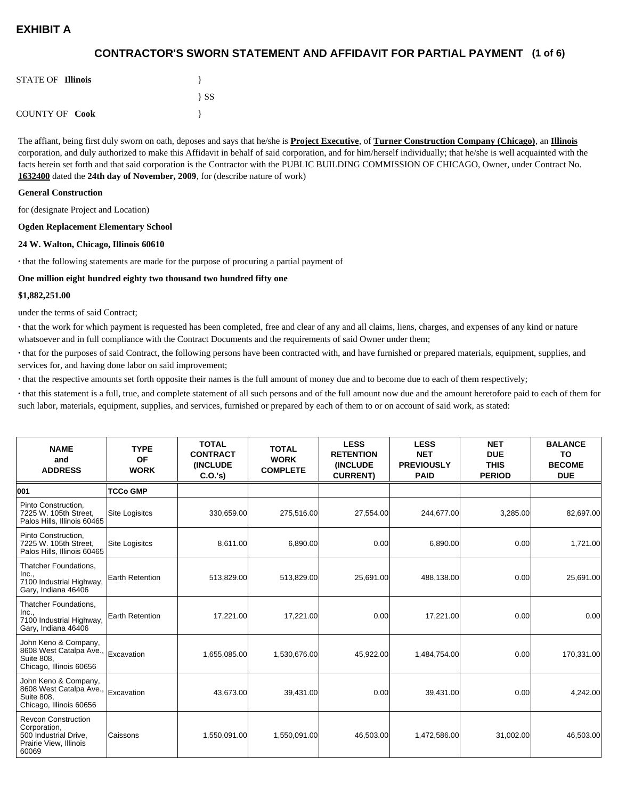## **(1 of 6) CONTRACTOR'S SWORN STATEMENT AND AFFIDAVIT FOR PARTIAL PAYMENT**

| <b>STATE OF Illinois</b> |          |
|--------------------------|----------|
|                          | $\{SS\}$ |
| <b>COUNTY OF Cook</b>    |          |

The affiant, being first duly sworn on oath, deposes and says that he/she is **Project Executive**, of **Turner Construction Company (Chicago)**, an **Illinois** corporation, and duly authorized to make this Affidavit in behalf of said corporation, and for him/herself individually; that he/she is well acquainted with the facts herein set forth and that said corporation is the Contractor with the PUBLIC BUILDING COMMISSION OF CHICAGO, Owner, under Contract No. **1632400** dated the **24th day of November, 2009**, for (describe nature of work)

#### **General Construction**

for (designate Project and Location)

#### **Ogden Replacement Elementary School**

#### **24 W. Walton, Chicago, Illinois 60610**

**·** that the following statements are made for the purpose of procuring a partial payment of

#### **One million eight hundred eighty two thousand two hundred fifty one**

#### **\$1,882,251.00**

under the terms of said Contract;

**·** that the work for which payment is requested has been completed, free and clear of any and all claims, liens, charges, and expenses of any kind or nature whatsoever and in full compliance with the Contract Documents and the requirements of said Owner under them;

**·** that for the purposes of said Contract, the following persons have been contracted with, and have furnished or prepared materials, equipment, supplies, and services for, and having done labor on said improvement;

**·** that the respective amounts set forth opposite their names is the full amount of money due and to become due to each of them respectively;

**·** that this statement is a full, true, and complete statement of all such persons and of the full amount now due and the amount heretofore paid to each of them for such labor, materials, equipment, supplies, and services, furnished or prepared by each of them to or on account of said work, as stated:

| <b>NAME</b><br>and<br><b>ADDRESS</b>                                                                   | <b>TYPE</b><br>OF<br><b>WORK</b> | <b>TOTAL</b><br><b>CONTRACT</b><br><b>(INCLUDE</b><br>C.O.'s | <b>TOTAL</b><br><b>WORK</b><br><b>COMPLETE</b> | <b>LESS</b><br><b>RETENTION</b><br><b>(INCLUDE</b><br><b>CURRENT)</b> | <b>LESS</b><br><b>NET</b><br><b>PREVIOUSLY</b><br><b>PAID</b> | <b>NET</b><br><b>DUE</b><br><b>THIS</b><br><b>PERIOD</b> | <b>BALANCE</b><br><b>TO</b><br><b>BECOME</b><br><b>DUE</b> |
|--------------------------------------------------------------------------------------------------------|----------------------------------|--------------------------------------------------------------|------------------------------------------------|-----------------------------------------------------------------------|---------------------------------------------------------------|----------------------------------------------------------|------------------------------------------------------------|
| 001                                                                                                    | <b>TCCo GMP</b>                  |                                                              |                                                |                                                                       |                                                               |                                                          |                                                            |
| Pinto Construction,<br>7225 W. 105th Street.<br>Palos Hills, Illinois 60465                            | Site Logisitcs                   | 330,659.00                                                   | 275,516.00                                     | 27,554.00                                                             | 244,677.00                                                    | 3,285.00                                                 | 82,697.00                                                  |
| Pinto Construction.<br>7225 W. 105th Street,<br>Palos Hills, Illinois 60465                            | <b>Site Logisitcs</b>            | 8,611.00                                                     | 6,890.00                                       | 0.00                                                                  | 6,890.00                                                      | 0.00                                                     | 1,721.00                                                   |
| Thatcher Foundations,<br>Inc.,<br>7100 Industrial Highway,<br>Gary, Indiana 46406                      | Earth Retention                  | 513,829.00                                                   | 513,829.00                                     | 25,691.00                                                             | 488,138.00                                                    | 0.00                                                     | 25,691.00                                                  |
| Thatcher Foundations,<br>Inc.,<br>7100 Industrial Highway,<br>Gary, Indiana 46406                      | Earth Retention                  | 17,221.00                                                    | 17,221.00                                      | 0.00                                                                  | 17,221.00                                                     | 0.00                                                     | 0.00                                                       |
| John Keno & Company,<br>8608 West Catalpa Ave.,<br><b>Suite 808.</b><br>Chicago, Illinois 60656        | Excavation                       | 1,655,085.00                                                 | 1,530,676.00                                   | 45,922.00                                                             | 1,484,754.00                                                  | 0.00                                                     | 170,331.00                                                 |
| John Keno & Company,<br>8608 West Catalpa Ave.,<br><b>Suite 808.</b><br>Chicago, Illinois 60656        | Excavation                       | 43,673.00                                                    | 39,431.00                                      | 0.00                                                                  | 39,431.00                                                     | 0.00                                                     | 4,242.00                                                   |
| <b>Revcon Construction</b><br>Corporation,<br>500 Industrial Drive,<br>Prairie View, Illinois<br>60069 | Caissons                         | 1,550,091.00                                                 | 1,550,091.00                                   | 46,503.00                                                             | 1,472,586.00                                                  | 31,002.00                                                | 46,503.00                                                  |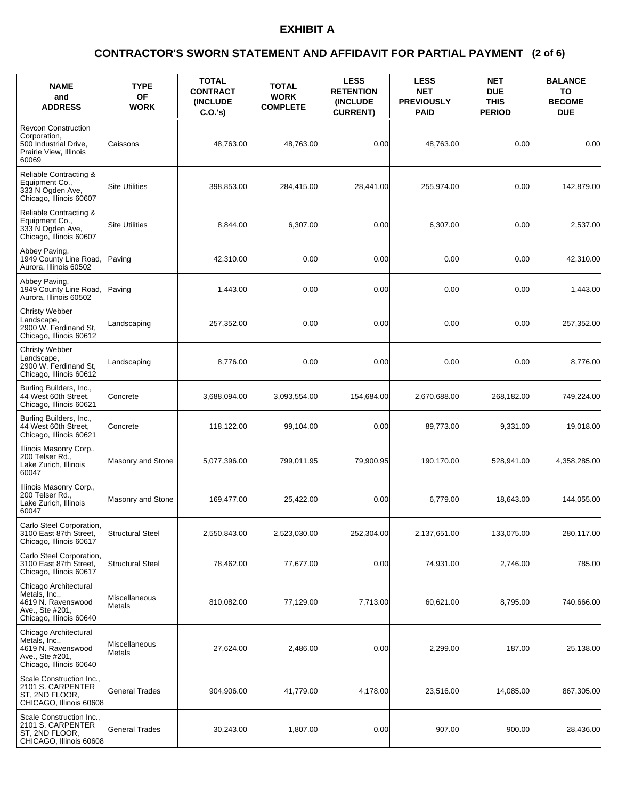### **(2 of 6) CONTRACTOR'S SWORN STATEMENT AND AFFIDAVIT FOR PARTIAL PAYMENT**

| <b>NAME</b><br>and<br><b>ADDRESS</b>                                                                       | <b>TYPE</b><br>OF<br><b>WORK</b> | <b>TOTAL</b><br><b>CONTRACT</b><br><b>(INCLUDE)</b><br>C.O.'s) | <b>TOTAL</b><br><b>WORK</b><br><b>COMPLETE</b> | <b>LESS</b><br><b>RETENTION</b><br><b>(INCLUDE)</b><br><b>CURRENT)</b> | <b>LESS</b><br><b>NET</b><br><b>PREVIOUSLY</b><br><b>PAID</b> | <b>NET</b><br><b>DUE</b><br><b>THIS</b><br><b>PERIOD</b> | <b>BALANCE</b><br>TO<br><b>BECOME</b><br><b>DUE</b> |
|------------------------------------------------------------------------------------------------------------|----------------------------------|----------------------------------------------------------------|------------------------------------------------|------------------------------------------------------------------------|---------------------------------------------------------------|----------------------------------------------------------|-----------------------------------------------------|
| <b>Revcon Construction</b><br>Corporation,<br>500 Industrial Drive,<br>Prairie View, Illinois<br>60069     | Caissons                         | 48,763.00                                                      | 48,763.00                                      | 0.00                                                                   | 48,763.00                                                     | 0.00                                                     | 0.00                                                |
| Reliable Contracting &<br>Equipment Co.,<br>333 N Ogden Ave,<br>Chicago, Illinois 60607                    | <b>Site Utilities</b>            | 398,853.00                                                     | 284,415.00                                     | 28,441.00                                                              | 255,974.00                                                    | 0.00                                                     | 142,879.00                                          |
| Reliable Contracting &<br>Equipment Co.,<br>333 N Ogden Ave,<br>Chicago, Illinois 60607                    | <b>Site Utilities</b>            | 8,844.00                                                       | 6,307.00                                       | 0.00                                                                   | 6,307.00                                                      | 0.00                                                     | 2,537.00                                            |
| Abbey Paving,<br>1949 County Line Road,<br>Aurora. Illinois 60502                                          | Paving                           | 42,310.00                                                      | 0.00                                           | 0.00                                                                   | 0.00                                                          | 0.00                                                     | 42,310.00                                           |
| Abbey Paving,<br>1949 County Line Road,<br>Aurora, Illinois 60502                                          | Paving                           | 1,443.00                                                       | 0.00                                           | 0.00                                                                   | 0.00                                                          | 0.00                                                     | 1,443.00                                            |
| Christy Webber<br>Landscape.<br>2900 W. Ferdinand St,<br>Chicago, Illinois 60612                           | Landscaping                      | 257,352.00                                                     | 0.00                                           | 0.00                                                                   | 0.00                                                          | 0.00                                                     | 257,352.00                                          |
| Christy Webber<br>Landscape,<br>2900 W. Ferdinand St,<br>Chicago, Illinois 60612                           | Landscaping                      | 8,776.00                                                       | 0.00                                           | 0.00                                                                   | 0.00                                                          | 0.00                                                     | 8,776.00                                            |
| Burling Builders, Inc.,<br>44 West 60th Street,<br>Chicago, Illinois 60621                                 | Concrete                         | 3,688,094.00                                                   | 3,093,554.00                                   | 154,684.00                                                             | 2,670,688.00                                                  | 268,182.00                                               | 749,224.00                                          |
| Burling Builders, Inc.,<br>44 West 60th Street,<br>Chicago, Illinois 60621                                 | Concrete                         | 118,122.00                                                     | 99,104.00                                      | 0.00                                                                   | 89,773.00                                                     | 9,331.00                                                 | 19,018.00                                           |
| Illinois Masonry Corp.,<br>200 Telser Rd.,<br>Lake Zurich, Illinois<br>60047                               | Masonry and Stone                | 5,077,396.00                                                   | 799,011.95                                     | 79,900.95                                                              | 190,170.00                                                    | 528,941.00                                               | 4,358,285.00                                        |
| Illinois Masonry Corp.,<br>200 Telser Rd.,<br>Lake Zurich, Illinois<br>60047                               | Masonry and Stone                | 169,477.00                                                     | 25,422.00                                      | 0.00                                                                   | 6,779.00                                                      | 18,643.00                                                | 144,055.00                                          |
| Carlo Steel Corporation,<br>3100 East 87th Street,<br>Chicago, Illinois 60617                              | <b>Structural Steel</b>          | 2,550,843.00                                                   | 2,523,030.00                                   | 252,304.00                                                             | 2,137,651.00                                                  | 133,075.00                                               | 280,117.00                                          |
| Carlo Steel Corporation,<br>3100 East 87th Street,<br>Chicago, Illinois 60617                              | <b>Structural Steel</b>          | 78,462.00                                                      | 77,677.00                                      | 0.00                                                                   | 74,931.00                                                     | 2,746.00                                                 | 785.00                                              |
| Chicago Architectural<br>Metals, Inc.,<br>4619 N. Ravenswood<br>Ave., Ste #201,<br>Chicago, Illinois 60640 | Miscellaneous<br>Metals          | 810,082.00                                                     | 77,129.00                                      | 7,713.00                                                               | 60,621.00                                                     | 8,795.00                                                 | 740,666.00                                          |
| Chicago Architectural<br>Metals, Inc.,<br>4619 N. Ravenswood<br>Ave., Ste #201,<br>Chicago, Illinois 60640 | Miscellaneous<br>Metals          | 27,624.00                                                      | 2,486.00                                       | 0.00                                                                   | 2,299.00                                                      | 187.00                                                   | 25,138.00                                           |
| Scale Construction Inc.,<br>2101 S. CARPENTER<br>ST, 2ND FLOOR,<br>CHICAGO, Illinois 60608                 | <b>General Trades</b>            | 904,906.00                                                     | 41,779.00                                      | 4,178.00                                                               | 23,516.00                                                     | 14,085.00                                                | 867,305.00                                          |
| Scale Construction Inc.,<br>2101 S. CARPENTER<br>ST, 2ND FLOOR,<br>CHICAGO, Illinois 60608                 | <b>General Trades</b>            | 30,243.00                                                      | 1,807.00                                       | 0.00                                                                   | 907.00                                                        | 900.00                                                   | 28,436.00                                           |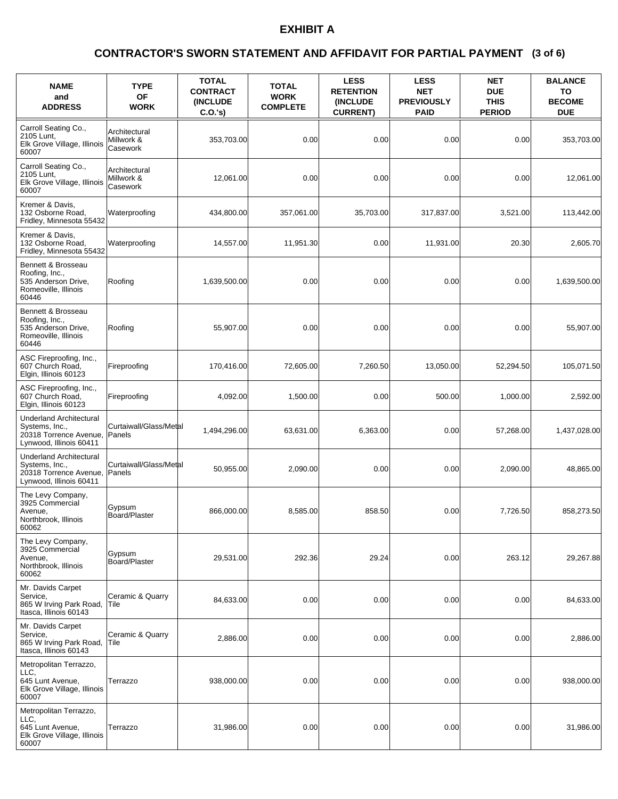### **(3 of 6) CONTRACTOR'S SWORN STATEMENT AND AFFIDAVIT FOR PARTIAL PAYMENT**

| <b>NAME</b><br>and<br><b>ADDRESS</b>                                                                  | <b>TYPE</b><br>OF<br><b>WORK</b>        | <b>TOTAL</b><br><b>CONTRACT</b><br><b>(INCLUDE)</b><br>C.O.'s) | <b>TOTAL</b><br><b>WORK</b><br><b>COMPLETE</b> | <b>LESS</b><br><b>RETENTION</b><br>(INCLUDE<br><b>CURRENT)</b> | <b>LESS</b><br><b>NET</b><br><b>PREVIOUSLY</b><br><b>PAID</b> | <b>NET</b><br><b>DUE</b><br><b>THIS</b><br><b>PERIOD</b> | <b>BALANCE</b><br>TO<br><b>BECOME</b><br><b>DUE</b> |
|-------------------------------------------------------------------------------------------------------|-----------------------------------------|----------------------------------------------------------------|------------------------------------------------|----------------------------------------------------------------|---------------------------------------------------------------|----------------------------------------------------------|-----------------------------------------------------|
| Carroll Seating Co.,<br>2105 Lunt,<br>Elk Grove Village, Illinois<br>60007                            | Architectural<br>Millwork &<br>Casework | 353,703.00                                                     | 0.00                                           | 0.00                                                           | 0.00                                                          | 0.00                                                     | 353,703.00                                          |
| Carroll Seating Co.,<br>2105 Lunt,<br>Elk Grove Village, Illinois<br>60007                            | Architectural<br>Millwork &<br>Casework | 12,061.00                                                      | 0.00                                           | 0.00                                                           | 0.00                                                          | 0.00                                                     | 12,061.00                                           |
| Kremer & Davis.<br>132 Osborne Road.<br>Fridley, Minnesota 55432                                      | Waterproofing                           | 434,800.00                                                     | 357,061.00                                     | 35,703.00                                                      | 317,837.00                                                    | 3,521.00                                                 | 113,442.00                                          |
| Kremer & Davis,<br>132 Osborne Road,<br>Fridley, Minnesota 55432                                      | Waterproofing                           | 14,557.00                                                      | 11,951.30                                      | 0.00                                                           | 11,931.00                                                     | 20.30                                                    | 2,605.70                                            |
| Bennett & Brosseau<br>Roofing, Inc.,<br>535 Anderson Drive,<br>Romeoville, Illinois<br>60446          | Roofing                                 | 1,639,500.00                                                   | 0.00                                           | 0.00                                                           | 0.00                                                          | 0.00                                                     | 1,639,500.00                                        |
| Bennett & Brosseau<br>Roofing, Inc.,<br>535 Anderson Drive,<br>Romeoville, Illinois<br>60446          | Roofing                                 | 55,907.00                                                      | 0.00                                           | 0.00                                                           | 0.00                                                          | 0.00                                                     | 55,907.00                                           |
| ASC Fireproofing, Inc.,<br>607 Church Road,<br>Elgin, Illinois 60123                                  | Fireproofing                            | 170,416.00                                                     | 72,605.00                                      | 7,260.50                                                       | 13,050.00                                                     | 52,294.50                                                | 105,071.50                                          |
| ASC Fireproofing, Inc.,<br>607 Church Road,<br>Elgin, Illinois 60123                                  | Fireproofing                            | 4,092.00                                                       | 1,500.00                                       | 0.00                                                           | 500.00                                                        | 1,000.00                                                 | 2,592.00                                            |
| <b>Underland Architectural</b><br>Systems, Inc.,<br>20318 Torrence Avenue,<br>Lynwood, Illinois 60411 | Curtaiwall/Glass/Metal<br>Panels        | 1,494,296.00                                                   | 63,631.00                                      | 6,363.00                                                       | 0.00                                                          | 57,268.00                                                | 1,437,028.00                                        |
| <b>Underland Architectural</b><br>Systems, Inc.,<br>20318 Torrence Avenue,<br>Lynwood, Illinois 60411 | Curtaiwall/Glass/Metal<br>Panels        | 50.955.00                                                      | 2,090.00                                       | 0.00                                                           | 0.00                                                          | 2,090.00                                                 | 48,865.00                                           |
| The Levy Company,<br>3925 Commercial<br>Avenue,<br>Northbrook, Illinois<br>60062                      | Gypsum<br>Board/Plaster                 | 866,000.00                                                     | 8,585.00                                       | 858.50                                                         | 0.00                                                          | 7,726.50                                                 | 858,273.50                                          |
| The Levy Company,<br>3925 Commercial<br>Avenue,<br>Northbrook, Illinois<br>60062                      | Gypsum<br>Board/Plaster                 | 29,531.00                                                      | 292.36                                         | 29.24                                                          | 0.00                                                          | 263.12                                                   | 29,267.88                                           |
| Mr. Davids Carpet<br>Service,<br>865 W Irving Park Road,<br>Itasca. Illinois 60143                    | Ceramic & Quarry<br> Tile               | 84,633.00                                                      | 0.00                                           | 0.00                                                           | 0.00                                                          | 0.00                                                     | 84,633.00                                           |
| Mr. Davids Carpet<br>Service.<br>865 W Irving Park Road,<br>Itasca, Illinois 60143                    | Ceramic & Quarry<br>Tile                | 2,886.00                                                       | 0.00                                           | 0.00                                                           | 0.00                                                          | 0.00                                                     | 2,886.00                                            |
| Metropolitan Terrazzo,<br>LLC,<br>645 Lunt Avenue,<br>Elk Grove Village, Illinois<br>60007            | Terrazzo                                | 938,000.00                                                     | 0.00                                           | 0.00                                                           | 0.00                                                          | 0.00                                                     | 938,000.00                                          |
| Metropolitan Terrazzo,<br>LLC,<br>645 Lunt Avenue,<br>Elk Grove Village, Illinois<br>60007            | Terrazzo                                | 31,986.00                                                      | 0.00                                           | 0.00                                                           | 0.00                                                          | 0.00                                                     | 31,986.00                                           |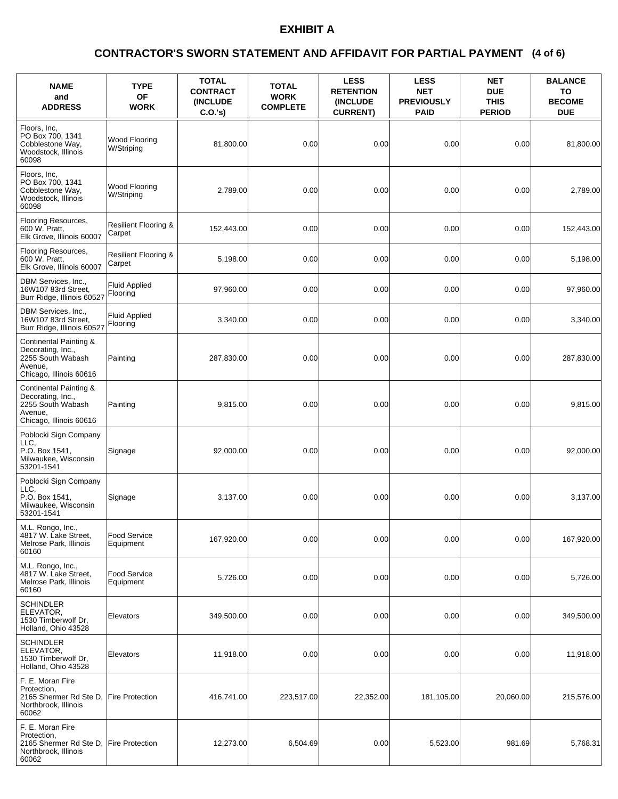### **(4 of 6) CONTRACTOR'S SWORN STATEMENT AND AFFIDAVIT FOR PARTIAL PAYMENT**

| <b>NAME</b><br>and<br><b>ADDRESS</b>                                                                   | <b>TYPE</b><br>OF<br><b>WORK</b>          | <b>TOTAL</b><br><b>CONTRACT</b><br><b>(INCLUDE)</b><br>C.O.'s) | <b>TOTAL</b><br><b>WORK</b><br><b>COMPLETE</b> | <b>LESS</b><br><b>RETENTION</b><br>(INCLUDE<br><b>CURRENT)</b> | <b>LESS</b><br><b>NET</b><br><b>PREVIOUSLY</b><br><b>PAID</b> | <b>NET</b><br><b>DUE</b><br><b>THIS</b><br><b>PERIOD</b> | <b>BALANCE</b><br>TO<br><b>BECOME</b><br><b>DUE</b> |
|--------------------------------------------------------------------------------------------------------|-------------------------------------------|----------------------------------------------------------------|------------------------------------------------|----------------------------------------------------------------|---------------------------------------------------------------|----------------------------------------------------------|-----------------------------------------------------|
| Floors, Inc.<br>PO Box 700, 1341<br>Cobblestone Way,<br>Woodstock, Illinois<br>60098                   | Wood Flooring<br>W/Striping               | 81.800.00                                                      | 0.00                                           | 0.00                                                           | 0.00                                                          | 0.00                                                     | 81,800.00                                           |
| Floors, Inc.<br>PO Box 700, 1341<br>Cobblestone Way,<br>Woodstock, Illinois<br>60098                   | Wood Flooring<br>W/Striping               | 2,789.00                                                       | 0.00                                           | 0.00                                                           | 0.00                                                          | 0.00                                                     | 2,789.00                                            |
| Flooring Resources,<br>600 W. Pratt,<br>Elk Grove, Illinois 60007                                      | Resilient Flooring &<br>Carpet            | 152,443.00                                                     | 0.00                                           | 0.00                                                           | 0.00                                                          | 0.00                                                     | 152,443.00                                          |
| Flooring Resources,<br>600 W. Pratt,<br>Elk Grove, Illinois 60007                                      | <b>Resilient Flooring &amp;</b><br>Carpet | 5,198.00                                                       | 0.00                                           | 0.00                                                           | 0.00                                                          | 0.00                                                     | 5,198.00                                            |
| DBM Services, Inc.,<br>16W107 83rd Street,<br>Burr Ridge, Illinois 60527                               | <b>Fluid Applied</b><br>Flooring          | 97,960.00                                                      | 0.00                                           | 0.00                                                           | 0.00                                                          | 0.00                                                     | 97,960.00                                           |
| DBM Services, Inc.,<br>16W107 83rd Street,<br>Burr Ridge, Illinois 60527                               | <b>Fluid Applied</b><br>Flooring          | 3,340.00                                                       | 0.00                                           | 0.00                                                           | 0.00                                                          | 0.00                                                     | 3,340.00                                            |
| Continental Painting &<br>Decorating, Inc.,<br>2255 South Wabash<br>Avenue,<br>Chicago, Illinois 60616 | Painting                                  | 287,830.00                                                     | 0.00                                           | 0.00                                                           | 0.00                                                          | 0.00                                                     | 287,830.00                                          |
| Continental Painting &<br>Decorating, Inc.,<br>2255 South Wabash<br>Avenue,<br>Chicago, Illinois 60616 | Painting                                  | 9,815.00                                                       | 0.00                                           | 0.00                                                           | 0.00                                                          | 0.00                                                     | 9,815.00                                            |
| Poblocki Sign Company<br>LLC.<br>P.O. Box 1541,<br>Milwaukee, Wisconsin<br>53201-1541                  | Signage                                   | 92,000.00                                                      | 0.00                                           | 0.00                                                           | 0.00                                                          | 0.00                                                     | 92,000.00                                           |
| Poblocki Sign Company<br>LLC.<br>P.O. Box 1541.<br>Milwaukee, Wisconsin<br>53201-1541                  | Signage                                   | 3,137.00                                                       | 0.00                                           | 0.00                                                           | 0.00                                                          | 0.00                                                     | 3,137.00                                            |
| M.L. Rongo, Inc.,<br>4817 W. Lake Street,<br>Melrose Park, Illinois<br>60160                           | Food Service<br>Equipment                 | 167.920.00                                                     | 0.00                                           | 0.00                                                           | 0.00                                                          | 0.00                                                     | 167,920.00                                          |
| M.L. Rongo, Inc.,<br>4817 W. Lake Street.<br>Melrose Park, Illinois<br>60160                           | Food Service<br>Equipment                 | 5,726.00                                                       | 0.00                                           | 0.00                                                           | 0.00                                                          | 0.00                                                     | 5,726.00                                            |
| SCHINDLER<br>ELEVATOR,<br>1530 Timberwolf Dr,<br>Holland, Ohio 43528                                   | Elevators                                 | 349,500.00                                                     | 0.00                                           | 0.00                                                           | 0.00                                                          | 0.00                                                     | 349,500.00                                          |
| <b>SCHINDLER</b><br>ELEVATOR,<br>1530 Timberwolf Dr,<br>Holland, Ohio 43528                            | Elevators                                 | 11,918.00                                                      | 0.00                                           | 0.00                                                           | 0.00                                                          | 0.00                                                     | 11,918.00                                           |
| F. E. Moran Fire<br>Protection,<br>2165 Shermer Rd Ste D,<br>Northbrook, Illinois<br>60062             | <b>Fire Protection</b>                    | 416,741.00                                                     | 223,517.00                                     | 22,352.00                                                      | 181,105.00                                                    | 20,060.00                                                | 215,576.00                                          |
| F. E. Moran Fire<br>Protection,<br>2165 Shermer Rd Ste D,<br>Northbrook, Illinois<br>60062             | <b>Fire Protection</b>                    | 12,273.00                                                      | 6,504.69                                       | 0.00                                                           | 5,523.00                                                      | 981.69                                                   | 5,768.31                                            |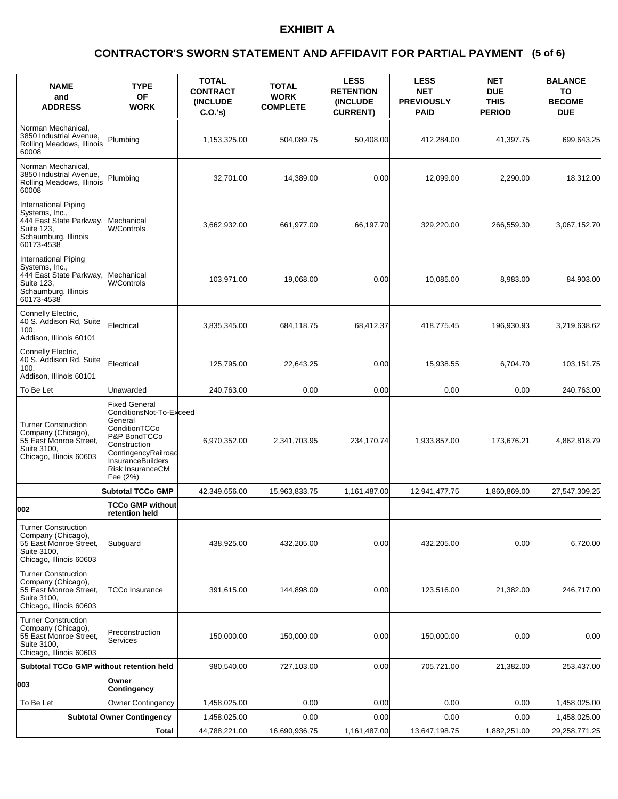### **(5 of 6) CONTRACTOR'S SWORN STATEMENT AND AFFIDAVIT FOR PARTIAL PAYMENT**

| <b>NAME</b><br>and<br><b>ADDRESS</b>                                                                                  | <b>TYPE</b><br><b>OF</b><br><b>WORK</b>                                                                                                                                                        | <b>TOTAL</b><br><b>CONTRACT</b><br><b>(INCLUDE)</b><br>C.O.'s | <b>TOTAL</b><br><b>WORK</b><br><b>COMPLETE</b> | <b>LESS</b><br><b>RETENTION</b><br><b>(INCLUDE)</b><br><b>CURRENT)</b> | <b>LESS</b><br><b>NET</b><br><b>PREVIOUSLY</b><br><b>PAID</b> | <b>NET</b><br><b>DUE</b><br><b>THIS</b><br><b>PERIOD</b> | <b>BALANCE</b><br>TO<br><b>BECOME</b><br><b>DUE</b> |
|-----------------------------------------------------------------------------------------------------------------------|------------------------------------------------------------------------------------------------------------------------------------------------------------------------------------------------|---------------------------------------------------------------|------------------------------------------------|------------------------------------------------------------------------|---------------------------------------------------------------|----------------------------------------------------------|-----------------------------------------------------|
| Norman Mechanical.<br>3850 Industrial Avenue,<br>Rolling Meadows, Illinois<br>60008                                   | Plumbing                                                                                                                                                                                       | 1,153,325.00                                                  | 504,089.75                                     | 50,408.00                                                              | 412,284.00                                                    | 41,397.75                                                | 699,643.25                                          |
| Norman Mechanical,<br>3850 Industrial Avenue,<br>Rolling Meadows, Illinois<br>60008                                   | Plumbing                                                                                                                                                                                       | 32,701.00                                                     | 14,389.00                                      | 0.00                                                                   | 12,099.00                                                     | 2,290.00                                                 | 18,312.00                                           |
| International Piping<br>Systems, Inc.,<br>444 East State Parkway,<br>Suite 123,<br>Schaumburg, Illinois<br>60173-4538 | Mechanical<br>W/Controls                                                                                                                                                                       | 3,662,932.00                                                  | 661,977.00                                     | 66,197.70                                                              | 329,220.00                                                    | 266,559.30                                               | 3,067,152.70                                        |
| International Piping<br>Systems, Inc.,<br>444 East State Parkway,<br>Suite 123,<br>Schaumburg, Illinois<br>60173-4538 | Mechanical<br>W/Controls                                                                                                                                                                       | 103,971.00                                                    | 19,068.00                                      | 0.00                                                                   | 10,085.00                                                     | 8,983.00                                                 | 84,903.00                                           |
| Connelly Electric,<br>40 S. Addison Rd, Suite<br>100,<br>Addison, Illinois 60101                                      | Electrical                                                                                                                                                                                     | 3,835,345.00                                                  | 684,118.75                                     | 68,412.37                                                              | 418,775.45                                                    | 196,930.93                                               | 3,219,638.62                                        |
| Connelly Electric,<br>40 S. Addison Rd, Suite<br>100.<br>Addison, Illinois 60101                                      | Electrical                                                                                                                                                                                     | 125,795.00                                                    | 22,643.25                                      | 0.00                                                                   | 15,938.55                                                     | 6,704.70                                                 | 103,151.75                                          |
| To Be Let                                                                                                             | Unawarded                                                                                                                                                                                      | 240,763.00                                                    | 0.00                                           | 0.00                                                                   | 0.00                                                          | 0.00                                                     | 240,763.00                                          |
| <b>Turner Construction</b><br>Company (Chicago),<br>55 East Monroe Street,<br>Suite 3100,<br>Chicago, Illinois 60603  | <b>Fixed General</b><br>ConditionsNot-To-Exceed<br>General<br>ConditionTCCo<br>P&P BondTCCo<br>Construction<br>ContingencyRailroad<br><b>InsuranceBuilders</b><br>Risk InsuranceCM<br>Fee (2%) | 6,970,352.00                                                  | 2,341,703.95                                   | 234,170.74                                                             | 1,933,857.00                                                  | 173,676.21                                               | 4,862,818.79                                        |
|                                                                                                                       | <b>Subtotal TCCo GMP</b>                                                                                                                                                                       | 42,349,656.00                                                 | 15,963,833.75                                  | 1,161,487.00                                                           | 12,941,477.75                                                 | 1.860.869.00                                             | 27.547.309.25                                       |
| 002                                                                                                                   | <b>TCCo GMP without</b><br>retention held                                                                                                                                                      |                                                               |                                                |                                                                        |                                                               |                                                          |                                                     |
| <b>Turner Construction</b><br>Company (Chicago),<br>55 East Monroe Street,<br>Suite 3100,<br>Chicago, Illinois 60603  | Subguard                                                                                                                                                                                       | 438,925.00                                                    | 432,205.00                                     | 0.00                                                                   | 432,205.00                                                    | 0.00                                                     | 6,720.00                                            |
| <b>Turner Construction</b><br>Company (Chicago),<br>55 East Monroe Street.<br>Suite 3100,<br>Chicago, Illinois 60603  | TCCo Insurance                                                                                                                                                                                 | 391,615.00                                                    | 144,898.00                                     | 0.00                                                                   | 123,516.00                                                    | 21,382.00                                                | 246,717.00                                          |
| <b>Turner Construction</b><br>Company (Chicago),<br>55 East Monroe Street,<br>Suite 3100,<br>Chicago, Illinois 60603  | Preconstruction<br>Services                                                                                                                                                                    | 150,000.00                                                    | 150,000.00                                     | 0.00                                                                   | 150,000.00                                                    | 0.00                                                     | 0.00                                                |
| Subtotal TCCo GMP without retention held                                                                              |                                                                                                                                                                                                | 980,540.00                                                    | 727,103.00                                     | 0.00                                                                   | 705,721.00                                                    | 21,382.00                                                | 253,437.00                                          |
| 003                                                                                                                   | Owner<br>Contingency                                                                                                                                                                           |                                                               |                                                |                                                                        |                                                               |                                                          |                                                     |
| To Be Let                                                                                                             | <b>Owner Contingency</b>                                                                                                                                                                       | 1,458,025.00                                                  | 0.00                                           | 0.00                                                                   | 0.00                                                          | 0.00                                                     | 1,458,025.00                                        |
|                                                                                                                       | <b>Subtotal Owner Contingency</b>                                                                                                                                                              | 1,458,025.00                                                  | 0.00                                           | 0.00                                                                   | 0.00                                                          | 0.00                                                     | 1,458,025.00                                        |
|                                                                                                                       | Total                                                                                                                                                                                          | 44,788,221.00                                                 | 16,690,936.75                                  | 1,161,487.00                                                           | 13,647,198.75                                                 | 1,882,251.00                                             | 29,258,771.25                                       |